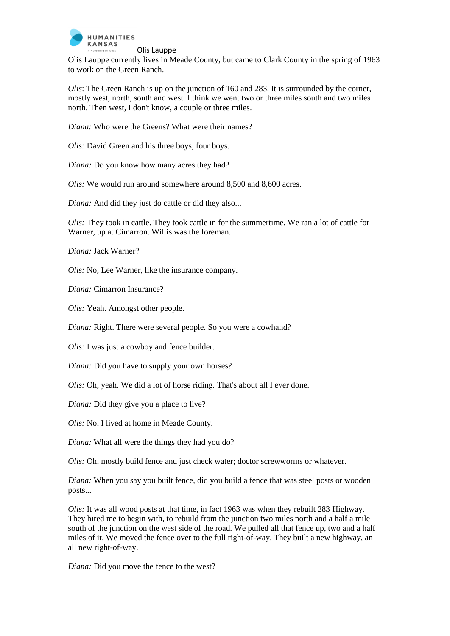

Olis Lauppe currently lives in Meade County, but came to Clark County in the spring of 1963 to work on the Green Ranch.

*Olis*: The Green Ranch is up on the junction of 160 and 283. It is surrounded by the corner, mostly west, north, south and west. I think we went two or three miles south and two miles north. Then west, I don't know, a couple or three miles.

*Diana:* Who were the Greens? What were their names?

*Olis:* David Green and his three boys, four boys.

*Diana:* Do you know how many acres they had?

*Olis:* We would run around somewhere around 8,500 and 8,600 acres.

*Diana:* And did they just do cattle or did they also...

*Olis:* They took in cattle. They took cattle in for the summertime. We ran a lot of cattle for Warner, up at Cimarron. Willis was the foreman.

*Diana:* Jack Warner?

*Olis:* No, Lee Warner, like the insurance company.

*Diana:* Cimarron Insurance?

*Olis:* Yeah. Amongst other people.

*Diana:* Right. There were several people. So you were a cowhand?

*Olis:* I was just a cowboy and fence builder.

*Diana:* Did you have to supply your own horses?

*Olis:* Oh, yeah. We did a lot of horse riding. That's about all I ever done.

*Diana:* Did they give you a place to live?

*Olis:* No, I lived at home in Meade County.

*Diana:* What all were the things they had you do?

*Olis:* Oh, mostly build fence and just check water; doctor screwworms or whatever.

*Diana:* When you say you built fence, did you build a fence that was steel posts or wooden posts...

*Olis:* It was all wood posts at that time, in fact 1963 was when they rebuilt 283 Highway. They hired me to begin with, to rebuild from the junction two miles north and a half a mile south of the junction on the west side of the road. We pulled all that fence up, two and a half miles of it. We moved the fence over to the full right-of-way. They built a new highway, an all new right-of-way.

*Diana:* Did you move the fence to the west?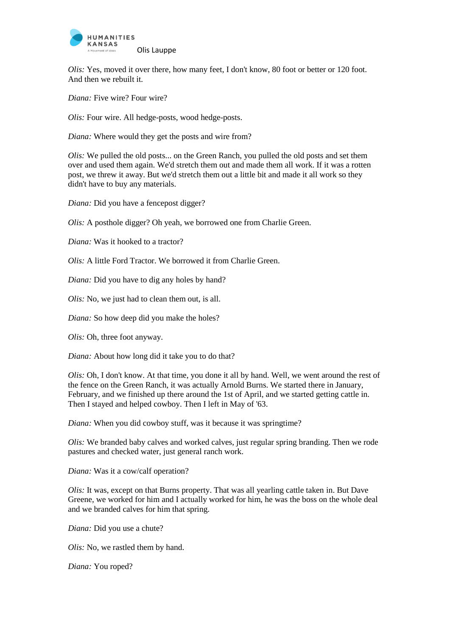

*Olis:* Yes, moved it over there, how many feet, I don't know, 80 foot or better or 120 foot. And then we rebuilt it.

*Diana:* Five wire? Four wire?

*Olis:* Four wire. All hedge-posts, wood hedge-posts.

*Diana:* Where would they get the posts and wire from?

*Olis:* We pulled the old posts... on the Green Ranch, you pulled the old posts and set them over and used them again. We'd stretch them out and made them all work. If it was a rotten post, we threw it away. But we'd stretch them out a little bit and made it all work so they didn't have to buy any materials.

*Diana:* Did you have a fencepost digger?

*Olis:* A posthole digger? Oh yeah, we borrowed one from Charlie Green.

*Diana:* Was it hooked to a tractor?

*Olis:* A little Ford Tractor. We borrowed it from Charlie Green.

*Diana:* Did you have to dig any holes by hand?

*Olis:* No, we just had to clean them out, is all.

*Diana:* So how deep did you make the holes?

*Olis:* Oh, three foot anyway.

*Diana:* About how long did it take you to do that?

*Olis:* Oh, I don't know. At that time, you done it all by hand. Well, we went around the rest of the fence on the Green Ranch, it was actually Arnold Burns. We started there in January, February, and we finished up there around the 1st of April, and we started getting cattle in. Then I stayed and helped cowboy. Then I left in May of '63.

*Diana:* When you did cowboy stuff, was it because it was springtime?

*Olis:* We branded baby calves and worked calves, just regular spring branding. Then we rode pastures and checked water, just general ranch work.

*Diana:* Was it a cow/calf operation?

*Olis:* It was, except on that Burns property. That was all yearling cattle taken in. But Dave Greene, we worked for him and I actually worked for him, he was the boss on the whole deal and we branded calves for him that spring.

*Diana:* Did you use a chute?

*Olis:* No, we rastled them by hand.

*Diana:* You roped?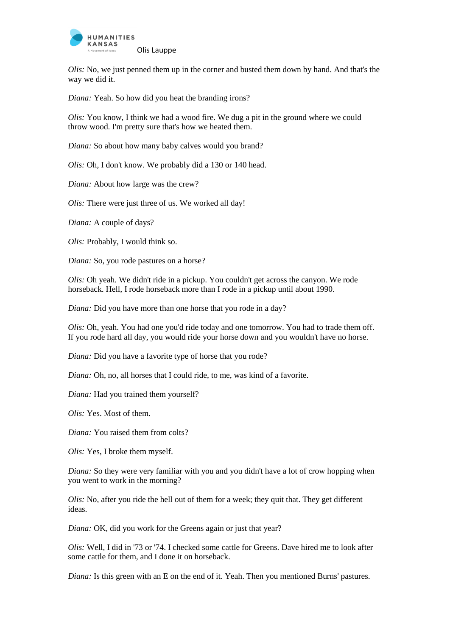

*Olis:* No, we just penned them up in the corner and busted them down by hand. And that's the way we did it.

*Diana:* Yeah. So how did you heat the branding irons?

*Olis:* You know, I think we had a wood fire. We dug a pit in the ground where we could throw wood. I'm pretty sure that's how we heated them.

*Diana:* So about how many baby calves would you brand?

*Olis:* Oh, I don't know. We probably did a 130 or 140 head.

*Diana:* About how large was the crew?

*Olis:* There were just three of us. We worked all day!

*Diana:* A couple of days?

*Olis:* Probably, I would think so.

*Diana:* So, you rode pastures on a horse?

*Olis:* Oh yeah. We didn't ride in a pickup. You couldn't get across the canyon. We rode horseback. Hell, I rode horseback more than I rode in a pickup until about 1990.

*Diana:* Did you have more than one horse that you rode in a day?

*Olis:* Oh, yeah. You had one you'd ride today and one tomorrow. You had to trade them off. If you rode hard all day, you would ride your horse down and you wouldn't have no horse.

*Diana:* Did you have a favorite type of horse that you rode?

*Diana:* Oh, no, all horses that I could ride, to me, was kind of a favorite.

*Diana:* Had you trained them yourself?

*Olis:* Yes. Most of them.

*Diana:* You raised them from colts?

*Olis:* Yes, I broke them myself.

*Diana:* So they were very familiar with you and you didn't have a lot of crow hopping when you went to work in the morning?

*Olis:* No, after you ride the hell out of them for a week; they quit that. They get different ideas.

*Diana:* OK, did you work for the Greens again or just that year?

*Olis:* Well, I did in '73 or '74. I checked some cattle for Greens. Dave hired me to look after some cattle for them, and I done it on horseback.

*Diana:* Is this green with an E on the end of it. Yeah. Then you mentioned Burns' pastures.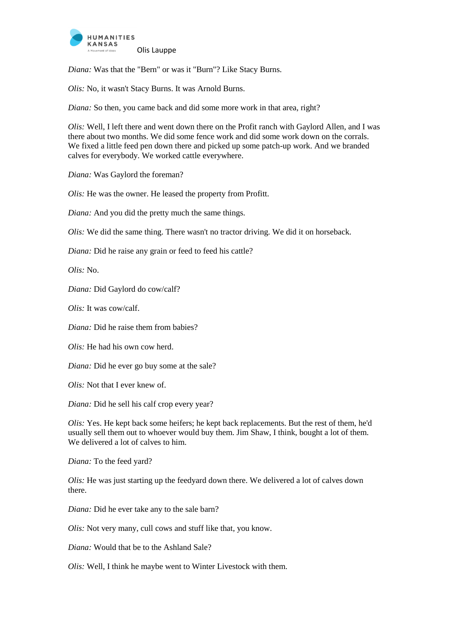

*Diana:* Was that the "Bern" or was it "Burn"? Like Stacy Burns.

*Olis:* No, it wasn't Stacy Burns. It was Arnold Burns.

*Diana:* So then, you came back and did some more work in that area, right?

*Olis:* Well, I left there and went down there on the Profit ranch with Gaylord Allen, and I was there about two months. We did some fence work and did some work down on the corrals. We fixed a little feed pen down there and picked up some patch-up work. And we branded calves for everybody. We worked cattle everywhere.

*Diana:* Was Gaylord the foreman?

*Olis:* He was the owner. He leased the property from Profitt.

*Diana:* And you did the pretty much the same things.

*Olis:* We did the same thing. There wasn't no tractor driving. We did it on horseback.

*Diana:* Did he raise any grain or feed to feed his cattle?

*Olis:* No.

*Diana:* Did Gaylord do cow/calf?

*Olis:* It was cow/calf.

*Diana:* Did he raise them from babies?

*Olis:* He had his own cow herd.

*Diana:* Did he ever go buy some at the sale?

*Olis:* Not that I ever knew of.

*Diana:* Did he sell his calf crop every year?

*Olis:* Yes. He kept back some heifers; he kept back replacements. But the rest of them, he'd usually sell them out to whoever would buy them. Jim Shaw, I think, bought a lot of them. We delivered a lot of calves to him.

*Diana:* To the feed yard?

*Olis:* He was just starting up the feedyard down there. We delivered a lot of calves down there.

*Diana:* Did he ever take any to the sale barn?

*Olis:* Not very many, cull cows and stuff like that, you know.

*Diana:* Would that be to the Ashland Sale?

*Olis:* Well, I think he maybe went to Winter Livestock with them.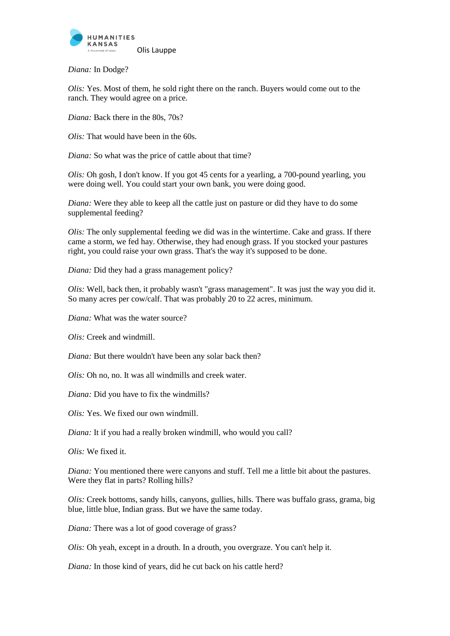

*Diana:* In Dodge?

*Olis:* Yes. Most of them, he sold right there on the ranch. Buyers would come out to the ranch. They would agree on a price.

*Diana:* Back there in the 80s, 70s?

*Olis:* That would have been in the 60s.

*Diana:* So what was the price of cattle about that time?

*Olis:* Oh gosh, I don't know. If you got 45 cents for a yearling, a 700-pound yearling, you were doing well. You could start your own bank, you were doing good.

*Diana:* Were they able to keep all the cattle just on pasture or did they have to do some supplemental feeding?

*Olis:* The only supplemental feeding we did was in the wintertime. Cake and grass. If there came a storm, we fed hay. Otherwise, they had enough grass. If you stocked your pastures right, you could raise your own grass. That's the way it's supposed to be done.

*Diana:* Did they had a grass management policy?

*Olis:* Well, back then, it probably wasn't "grass management". It was just the way you did it. So many acres per cow/calf. That was probably 20 to 22 acres, minimum.

*Diana:* What was the water source?

*Olis:* Creek and windmill.

*Diana:* But there wouldn't have been any solar back then?

*Olis:* Oh no, no. It was all windmills and creek water.

*Diana:* Did you have to fix the windmills?

*Olis:* Yes. We fixed our own windmill.

*Diana:* It if you had a really broken windmill, who would you call?

*Olis:* We fixed it.

*Diana:* You mentioned there were canyons and stuff. Tell me a little bit about the pastures. Were they flat in parts? Rolling hills?

*Olis:* Creek bottoms, sandy hills, canyons, gullies, hills. There was buffalo grass, grama, big blue, little blue, Indian grass. But we have the same today.

*Diana:* There was a lot of good coverage of grass?

*Olis:* Oh yeah, except in a drouth. In a drouth, you overgraze. You can't help it.

*Diana:* In those kind of years, did he cut back on his cattle herd?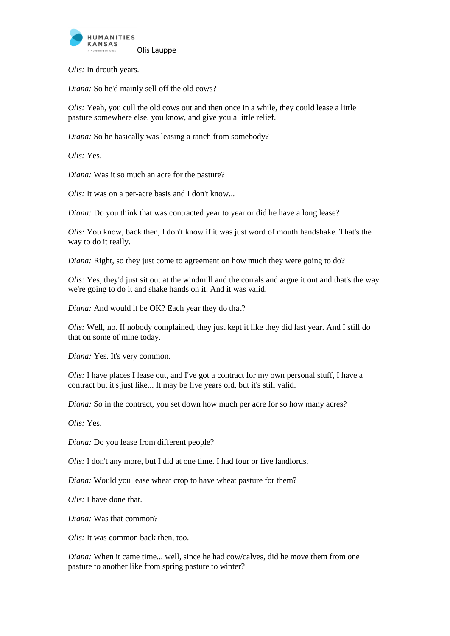

*Olis:* In drouth years.

*Diana:* So he'd mainly sell off the old cows?

*Olis:* Yeah, you cull the old cows out and then once in a while, they could lease a little pasture somewhere else, you know, and give you a little relief.

*Diana:* So he basically was leasing a ranch from somebody?

*Olis:* Yes.

*Diana:* Was it so much an acre for the pasture?

*Olis:* It was on a per-acre basis and I don't know...

*Diana:* Do you think that was contracted year to year or did he have a long lease?

*Olis:* You know, back then, I don't know if it was just word of mouth handshake. That's the way to do it really.

*Diana:* Right, so they just come to agreement on how much they were going to do?

*Olis:* Yes, they'd just sit out at the windmill and the corrals and argue it out and that's the way we're going to do it and shake hands on it. And it was valid.

*Diana:* And would it be OK? Each year they do that?

*Olis:* Well, no. If nobody complained, they just kept it like they did last year. And I still do that on some of mine today.

*Diana:* Yes. It's very common.

*Olis:* I have places I lease out, and I've got a contract for my own personal stuff, I have a contract but it's just like... It may be five years old, but it's still valid.

*Diana:* So in the contract, you set down how much per acre for so how many acres?

*Olis:* Yes.

*Diana:* Do you lease from different people?

*Olis:* I don't any more, but I did at one time. I had four or five landlords.

*Diana:* Would you lease wheat crop to have wheat pasture for them?

*Olis:* I have done that.

*Diana:* Was that common?

*Olis:* It was common back then, too.

*Diana:* When it came time... well, since he had cow/calves, did he move them from one pasture to another like from spring pasture to winter?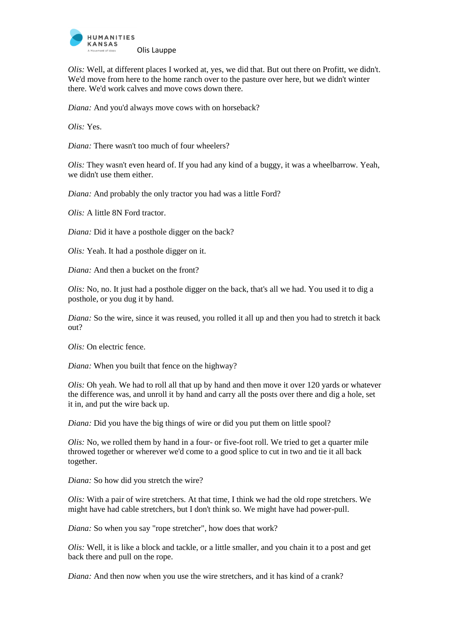

*Olis:* Well, at different places I worked at, yes, we did that. But out there on Profitt, we didn't. We'd move from here to the home ranch over to the pasture over here, but we didn't winter there. We'd work calves and move cows down there.

*Diana:* And you'd always move cows with on horseback?

*Olis:* Yes.

*Diana:* There wasn't too much of four wheelers?

*Olis:* They wasn't even heard of. If you had any kind of a buggy, it was a wheelbarrow. Yeah, we didn't use them either.

*Diana:* And probably the only tractor you had was a little Ford?

*Olis:* A little 8N Ford tractor.

*Diana:* Did it have a posthole digger on the back?

*Olis:* Yeah. It had a posthole digger on it.

*Diana:* And then a bucket on the front?

*Olis:* No, no. It just had a posthole digger on the back, that's all we had. You used it to dig a posthole, or you dug it by hand.

*Diana:* So the wire, since it was reused, you rolled it all up and then you had to stretch it back out?

*Olis:* On electric fence.

*Diana:* When you built that fence on the highway?

*Olis:* Oh yeah. We had to roll all that up by hand and then move it over 120 yards or whatever the difference was, and unroll it by hand and carry all the posts over there and dig a hole, set it in, and put the wire back up.

*Diana:* Did you have the big things of wire or did you put them on little spool?

*Olis:* No, we rolled them by hand in a four- or five-foot roll. We tried to get a quarter mile throwed together or wherever we'd come to a good splice to cut in two and tie it all back together.

*Diana:* So how did you stretch the wire?

*Olis:* With a pair of wire stretchers. At that time, I think we had the old rope stretchers. We might have had cable stretchers, but I don't think so. We might have had power-pull.

*Diana:* So when you say "rope stretcher", how does that work?

*Olis:* Well, it is like a block and tackle, or a little smaller, and you chain it to a post and get back there and pull on the rope.

*Diana:* And then now when you use the wire stretchers, and it has kind of a crank?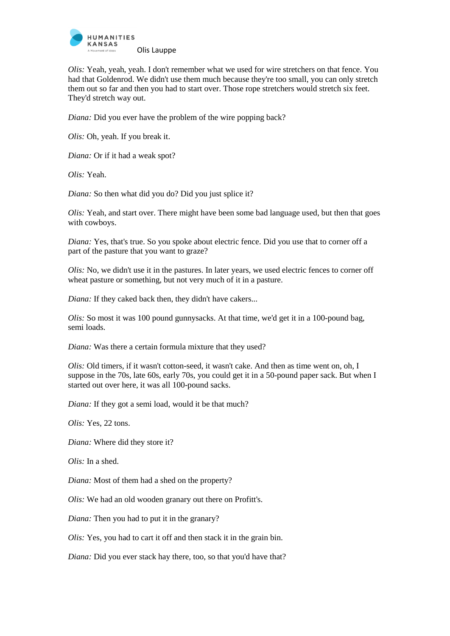

*Olis:* Yeah, yeah, yeah. I don't remember what we used for wire stretchers on that fence. You had that Goldenrod. We didn't use them much because they're too small, you can only stretch them out so far and then you had to start over. Those rope stretchers would stretch six feet. They'd stretch way out.

*Diana:* Did you ever have the problem of the wire popping back?

*Olis:* Oh, yeah. If you break it.

*Diana:* Or if it had a weak spot?

*Olis:* Yeah.

*Diana:* So then what did you do? Did you just splice it?

*Olis:* Yeah, and start over. There might have been some bad language used, but then that goes with cowboys.

*Diana:* Yes, that's true. So you spoke about electric fence. Did you use that to corner off a part of the pasture that you want to graze?

*Olis:* No, we didn't use it in the pastures. In later years, we used electric fences to corner off wheat pasture or something, but not very much of it in a pasture.

*Diana:* If they caked back then, they didn't have cakers...

*Olis:* So most it was 100 pound gunnysacks. At that time, we'd get it in a 100-pound bag, semi loads.

*Diana:* Was there a certain formula mixture that they used?

*Olis:* Old timers, if it wasn't cotton-seed, it wasn't cake. And then as time went on, oh, I suppose in the 70s, late 60s, early 70s, you could get it in a 50-pound paper sack. But when I started out over here, it was all 100-pound sacks.

*Diana:* If they got a semi load, would it be that much?

*Olis:* Yes, 22 tons.

*Diana:* Where did they store it?

*Olis:* In a shed.

*Diana:* Most of them had a shed on the property?

*Olis:* We had an old wooden granary out there on Profitt's.

*Diana:* Then you had to put it in the granary?

*Olis:* Yes, you had to cart it off and then stack it in the grain bin.

*Diana:* Did you ever stack hay there, too, so that you'd have that?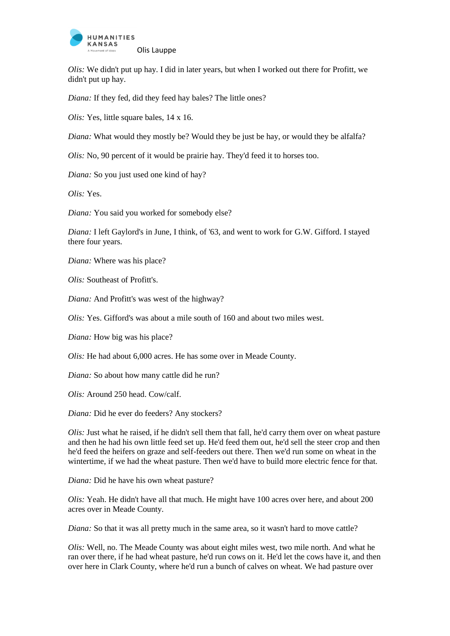

*Olis:* We didn't put up hay. I did in later years, but when I worked out there for Profitt, we didn't put up hay.

*Diana:* If they fed, did they feed hay bales? The little ones?

*Olis:* Yes, little square bales, 14 x 16.

*Diana:* What would they mostly be? Would they be just be hay, or would they be alfalfa?

*Olis:* No, 90 percent of it would be prairie hay. They'd feed it to horses too.

*Diana:* So you just used one kind of hay?

*Olis:* Yes.

*Diana:* You said you worked for somebody else?

*Diana:* I left Gaylord's in June, I think, of '63, and went to work for G.W. Gifford. I stayed there four years.

*Diana:* Where was his place?

*Olis:* Southeast of Profitt's.

*Diana:* And Profitt's was west of the highway?

*Olis:* Yes. Gifford's was about a mile south of 160 and about two miles west.

*Diana:* How big was his place?

*Olis:* He had about 6,000 acres. He has some over in Meade County.

*Diana:* So about how many cattle did he run?

*Olis:* Around 250 head. Cow/calf.

*Diana:* Did he ever do feeders? Any stockers?

*Olis:* Just what he raised, if he didn't sell them that fall, he'd carry them over on wheat pasture and then he had his own little feed set up. He'd feed them out, he'd sell the steer crop and then he'd feed the heifers on graze and self-feeders out there. Then we'd run some on wheat in the wintertime, if we had the wheat pasture. Then we'd have to build more electric fence for that.

*Diana:* Did he have his own wheat pasture?

*Olis:* Yeah. He didn't have all that much. He might have 100 acres over here, and about 200 acres over in Meade County.

*Diana:* So that it was all pretty much in the same area, so it wasn't hard to move cattle?

*Olis:* Well, no. The Meade County was about eight miles west, two mile north. And what he ran over there, if he had wheat pasture, he'd run cows on it. He'd let the cows have it, and then over here in Clark County, where he'd run a bunch of calves on wheat. We had pasture over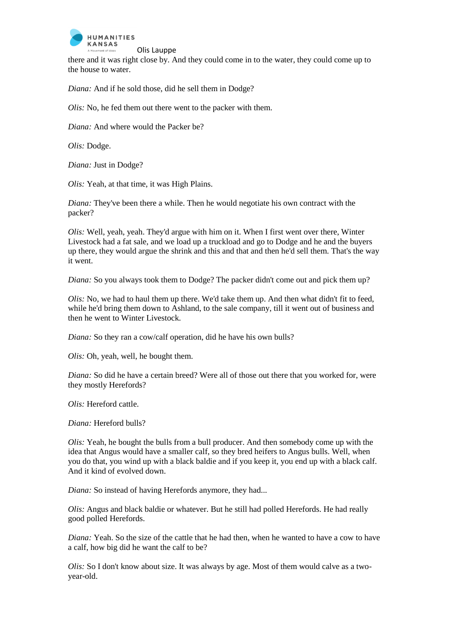

there and it was right close by. And they could come in to the water, they could come up to the house to water.

*Diana:* And if he sold those, did he sell them in Dodge?

*Olis:* No, he fed them out there went to the packer with them.

*Diana:* And where would the Packer be?

*Olis:* Dodge.

*Diana:* Just in Dodge?

*Olis:* Yeah, at that time, it was High Plains.

*Diana:* They've been there a while. Then he would negotiate his own contract with the packer?

*Olis:* Well, yeah, yeah. They'd argue with him on it. When I first went over there, Winter Livestock had a fat sale, and we load up a truckload and go to Dodge and he and the buyers up there, they would argue the shrink and this and that and then he'd sell them. That's the way it went.

*Diana:* So you always took them to Dodge? The packer didn't come out and pick them up?

*Olis:* No, we had to haul them up there. We'd take them up. And then what didn't fit to feed, while he'd bring them down to Ashland, to the sale company, till it went out of business and then he went to Winter Livestock.

*Diana:* So they ran a cow/calf operation, did he have his own bulls?

*Olis:* Oh, yeah, well, he bought them.

*Diana:* So did he have a certain breed? Were all of those out there that you worked for, were they mostly Herefords?

*Olis:* Hereford cattle.

*Diana:* Hereford bulls?

*Olis:* Yeah, he bought the bulls from a bull producer. And then somebody come up with the idea that Angus would have a smaller calf, so they bred heifers to Angus bulls. Well, when you do that, you wind up with a black baldie and if you keep it, you end up with a black calf. And it kind of evolved down.

*Diana:* So instead of having Herefords anymore, they had...

*Olis:* Angus and black baldie or whatever. But he still had polled Herefords. He had really good polled Herefords.

*Diana:* Yeah. So the size of the cattle that he had then, when he wanted to have a cow to have a calf, how big did he want the calf to be?

*Olis:* So I don't know about size. It was always by age. Most of them would calve as a twoyear-old.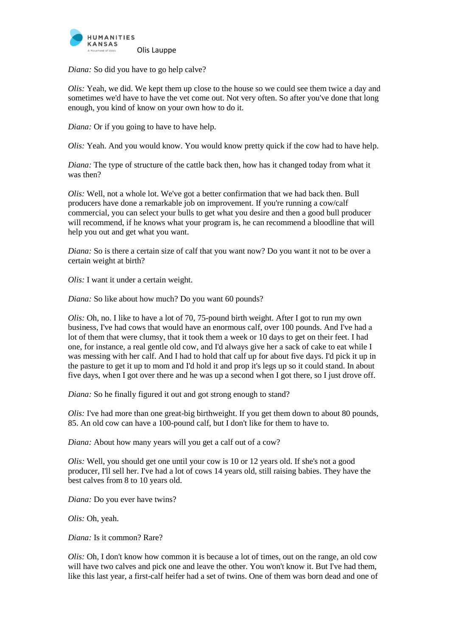

*Diana:* So did you have to go help calve?

*Olis:* Yeah, we did. We kept them up close to the house so we could see them twice a day and sometimes we'd have to have the vet come out. Not very often. So after you've done that long enough, you kind of know on your own how to do it.

*Diana:* Or if you going to have to have help.

*Olis:* Yeah. And you would know. You would know pretty quick if the cow had to have help.

*Diana:* The type of structure of the cattle back then, how has it changed today from what it was then?

*Olis:* Well, not a whole lot. We've got a better confirmation that we had back then. Bull producers have done a remarkable job on improvement. If you're running a cow/calf commercial, you can select your bulls to get what you desire and then a good bull producer will recommend, if he knows what your program is, he can recommend a bloodline that will help you out and get what you want.

*Diana:* So is there a certain size of calf that you want now? Do you want it not to be over a certain weight at birth?

*Olis:* I want it under a certain weight.

*Diana:* So like about how much? Do you want 60 pounds?

*Olis:* Oh, no. I like to have a lot of 70, 75-pound birth weight. After I got to run my own business, I've had cows that would have an enormous calf, over 100 pounds. And I've had a lot of them that were clumsy, that it took them a week or 10 days to get on their feet. I had one, for instance, a real gentle old cow, and I'd always give her a sack of cake to eat while I was messing with her calf. And I had to hold that calf up for about five days. I'd pick it up in the pasture to get it up to mom and I'd hold it and prop it's legs up so it could stand. In about five days, when I got over there and he was up a second when I got there, so I just drove off.

*Diana:* So he finally figured it out and got strong enough to stand?

*Olis:* I've had more than one great-big birthweight. If you get them down to about 80 pounds, 85. An old cow can have a 100-pound calf, but I don't like for them to have to.

*Diana:* About how many years will you get a calf out of a cow?

*Olis:* Well, you should get one until your cow is 10 or 12 years old. If she's not a good producer, I'll sell her. I've had a lot of cows 14 years old, still raising babies. They have the best calves from 8 to 10 years old.

*Diana:* Do you ever have twins?

*Olis:* Oh, yeah.

*Diana:* Is it common? Rare?

*Olis:* Oh, I don't know how common it is because a lot of times, out on the range, an old cow will have two calves and pick one and leave the other. You won't know it. But I've had them, like this last year, a first-calf heifer had a set of twins. One of them was born dead and one of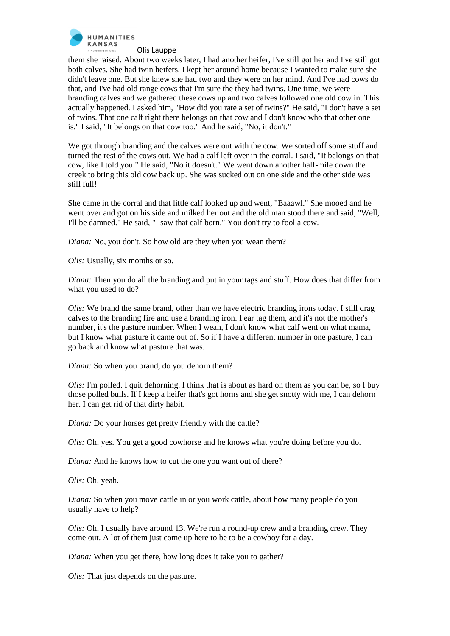

them she raised. About two weeks later, I had another heifer, I've still got her and I've still got both calves. She had twin heifers. I kept her around home because I wanted to make sure she didn't leave one. But she knew she had two and they were on her mind. And I've had cows do that, and I've had old range cows that I'm sure the they had twins. One time, we were branding calves and we gathered these cows up and two calves followed one old cow in. This actually happened. I asked him, "How did you rate a set of twins?" He said, "I don't have a set of twins. That one calf right there belongs on that cow and I don't know who that other one is." I said, "It belongs on that cow too." And he said, "No, it don't."

We got through branding and the calves were out with the cow. We sorted off some stuff and turned the rest of the cows out. We had a calf left over in the corral. I said, "It belongs on that cow, like I told you." He said, "No it doesn't." We went down another half-mile down the creek to bring this old cow back up. She was sucked out on one side and the other side was still full!

She came in the corral and that little calf looked up and went, "Baaawl." She mooed and he went over and got on his side and milked her out and the old man stood there and said, "Well, I'll be damned." He said, "I saw that calf born." You don't try to fool a cow.

*Diana:* No, you don't. So how old are they when you wean them?

*Olis:* Usually, six months or so.

*Diana:* Then you do all the branding and put in your tags and stuff. How does that differ from what you used to do?

*Olis:* We brand the same brand, other than we have electric branding irons today. I still drag calves to the branding fire and use a branding iron. I ear tag them, and it's not the mother's number, it's the pasture number. When I wean, I don't know what calf went on what mama, but I know what pasture it came out of. So if I have a different number in one pasture, I can go back and know what pasture that was.

*Diana:* So when you brand, do you dehorn them?

*Olis:* I'm polled. I quit dehorning. I think that is about as hard on them as you can be, so I buy those polled bulls. If I keep a heifer that's got horns and she get snotty with me, I can dehorn her. I can get rid of that dirty habit.

*Diana:* Do your horses get pretty friendly with the cattle?

*Olis:* Oh, yes. You get a good cowhorse and he knows what you're doing before you do.

*Diana:* And he knows how to cut the one you want out of there?

*Olis:* Oh, yeah.

*Diana:* So when you move cattle in or you work cattle, about how many people do you usually have to help?

*Olis:* Oh, I usually have around 13. We're run a round-up crew and a branding crew. They come out. A lot of them just come up here to be to be a cowboy for a day.

*Diana:* When you get there, how long does it take you to gather?

*Olis:* That just depends on the pasture.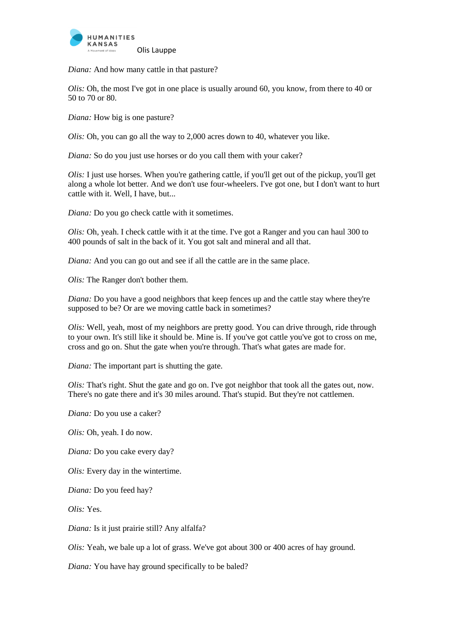

*Diana:* And how many cattle in that pasture?

*Olis:* Oh, the most I've got in one place is usually around 60, you know, from there to 40 or 50 to 70 or 80.

*Diana:* How big is one pasture?

*Olis:* Oh, you can go all the way to 2,000 acres down to 40, whatever you like.

*Diana:* So do you just use horses or do you call them with your caker?

*Olis:* I just use horses. When you're gathering cattle, if you'll get out of the pickup, you'll get along a whole lot better. And we don't use four-wheelers. I've got one, but I don't want to hurt cattle with it. Well, I have, but...

*Diana:* Do you go check cattle with it sometimes.

*Olis:* Oh, yeah. I check cattle with it at the time. I've got a Ranger and you can haul 300 to 400 pounds of salt in the back of it. You got salt and mineral and all that.

*Diana:* And you can go out and see if all the cattle are in the same place.

*Olis:* The Ranger don't bother them.

*Diana:* Do you have a good neighbors that keep fences up and the cattle stay where they're supposed to be? Or are we moving cattle back in sometimes?

*Olis:* Well, yeah, most of my neighbors are pretty good. You can drive through, ride through to your own. It's still like it should be. Mine is. If you've got cattle you've got to cross on me, cross and go on. Shut the gate when you're through. That's what gates are made for.

*Diana:* The important part is shutting the gate.

*Olis:* That's right. Shut the gate and go on. I've got neighbor that took all the gates out, now. There's no gate there and it's 30 miles around. That's stupid. But they're not cattlemen.

*Diana:* Do you use a caker?

*Olis:* Oh, yeah. I do now.

*Diana:* Do you cake every day?

*Olis:* Every day in the wintertime.

*Diana:* Do you feed hay?

*Olis:* Yes.

*Diana:* Is it just prairie still? Any alfalfa?

*Olis:* Yeah, we bale up a lot of grass. We've got about 300 or 400 acres of hay ground.

*Diana:* You have hay ground specifically to be baled?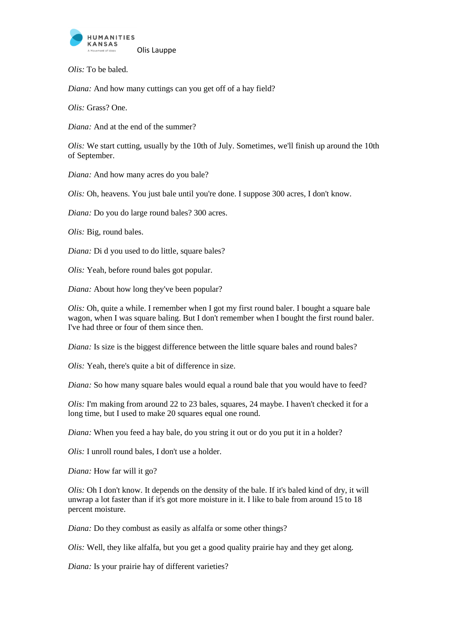

*Olis:* To be baled.

*Diana:* And how many cuttings can you get off of a hay field?

*Olis:* Grass? One.

*Diana:* And at the end of the summer?

*Olis:* We start cutting, usually by the 10th of July. Sometimes, we'll finish up around the 10th of September.

*Diana:* And how many acres do you bale?

*Olis:* Oh, heavens. You just bale until you're done. I suppose 300 acres, I don't know.

*Diana:* Do you do large round bales? 300 acres.

*Olis:* Big, round bales.

*Diana:* Di d you used to do little, square bales?

*Olis:* Yeah, before round bales got popular.

*Diana:* About how long they've been popular?

*Olis:* Oh, quite a while. I remember when I got my first round baler. I bought a square bale wagon, when I was square baling. But I don't remember when I bought the first round baler. I've had three or four of them since then.

*Diana:* Is size is the biggest difference between the little square bales and round bales?

*Olis:* Yeah, there's quite a bit of difference in size.

*Diana:* So how many square bales would equal a round bale that you would have to feed?

*Olis:* I'm making from around 22 to 23 bales, squares, 24 maybe. I haven't checked it for a long time, but I used to make 20 squares equal one round.

*Diana:* When you feed a hay bale, do you string it out or do you put it in a holder?

*Olis:* I unroll round bales, I don't use a holder.

*Diana:* How far will it go?

*Olis:* Oh I don't know. It depends on the density of the bale. If it's baled kind of dry, it will unwrap a lot faster than if it's got more moisture in it. I like to bale from around 15 to 18 percent moisture.

*Diana:* Do they combust as easily as alfalfa or some other things?

*Olis:* Well, they like alfalfa, but you get a good quality prairie hay and they get along.

*Diana:* Is your prairie hay of different varieties?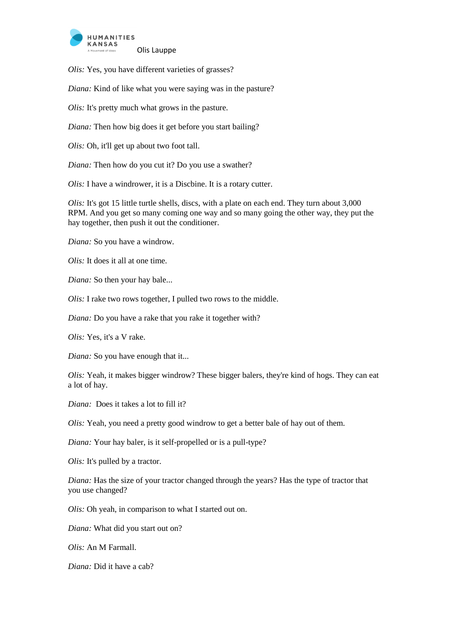

*Olis:* Yes, you have different varieties of grasses?

*Diana:* Kind of like what you were saying was in the pasture?

*Olis:* It's pretty much what grows in the pasture.

*Diana:* Then how big does it get before you start bailing?

*Olis:* Oh, it'll get up about two foot tall.

*Diana:* Then how do you cut it? Do you use a swather?

*Olis:* I have a windrower, it is a Discbine. It is a rotary cutter.

*Olis:* It's got 15 little turtle shells, discs, with a plate on each end. They turn about 3,000 RPM. And you get so many coming one way and so many going the other way, they put the hay together, then push it out the conditioner.

*Diana:* So you have a windrow.

*Olis:* It does it all at one time.

*Diana:* So then your hay bale...

*Olis:* I rake two rows together, I pulled two rows to the middle.

*Diana:* Do you have a rake that you rake it together with?

*Olis:* Yes, it's a V rake.

*Diana:* So you have enough that it...

*Olis:* Yeah, it makes bigger windrow? These bigger balers, they're kind of hogs. They can eat a lot of hay.

*Diana:* Does it takes a lot to fill it?

*Olis:* Yeah, you need a pretty good windrow to get a better bale of hay out of them.

*Diana:* Your hay baler, is it self-propelled or is a pull-type?

*Olis:* It's pulled by a tractor.

*Diana:* Has the size of your tractor changed through the years? Has the type of tractor that you use changed?

*Olis:* Oh yeah, in comparison to what I started out on.

*Diana:* What did you start out on?

*Olis:* An M Farmall.

*Diana:* Did it have a cab?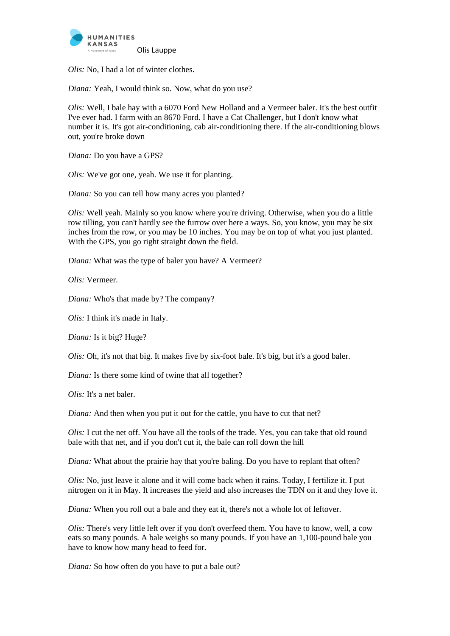

*Olis:* No, I had a lot of winter clothes.

*Diana:* Yeah, I would think so. Now, what do you use?

*Olis:* Well, I bale hay with a 6070 Ford New Holland and a Vermeer baler. It's the best outfit I've ever had. I farm with an 8670 Ford. I have a Cat Challenger, but I don't know what number it is. It's got air-conditioning, cab air-conditioning there. If the air-conditioning blows out, you're broke down

*Diana:* Do you have a GPS?

*Olis:* We've got one, yeah. We use it for planting.

*Diana:* So you can tell how many acres you planted?

*Olis:* Well yeah. Mainly so you know where you're driving. Otherwise, when you do a little row tilling, you can't hardly see the furrow over here a ways. So, you know, you may be six inches from the row, or you may be 10 inches. You may be on top of what you just planted. With the GPS, you go right straight down the field.

*Diana:* What was the type of baler you have? A Vermeer?

*Olis:* Vermeer.

*Diana:* Who's that made by? The company?

*Olis:* I think it's made in Italy.

*Diana:* Is it big? Huge?

*Olis:* Oh, it's not that big. It makes five by six-foot bale. It's big, but it's a good baler.

*Diana:* Is there some kind of twine that all together?

*Olis:* It's a net baler.

*Diana:* And then when you put it out for the cattle, you have to cut that net?

*Olis:* I cut the net off. You have all the tools of the trade. Yes, you can take that old round bale with that net, and if you don't cut it, the bale can roll down the hill

*Diana:* What about the prairie hay that you're baling. Do you have to replant that often?

*Olis:* No, just leave it alone and it will come back when it rains. Today, I fertilize it. I put nitrogen on it in May. It increases the yield and also increases the TDN on it and they love it.

*Diana:* When you roll out a bale and they eat it, there's not a whole lot of leftover.

*Olis:* There's very little left over if you don't overfeed them. You have to know, well, a cow eats so many pounds. A bale weighs so many pounds. If you have an 1,100-pound bale you have to know how many head to feed for.

*Diana:* So how often do you have to put a bale out?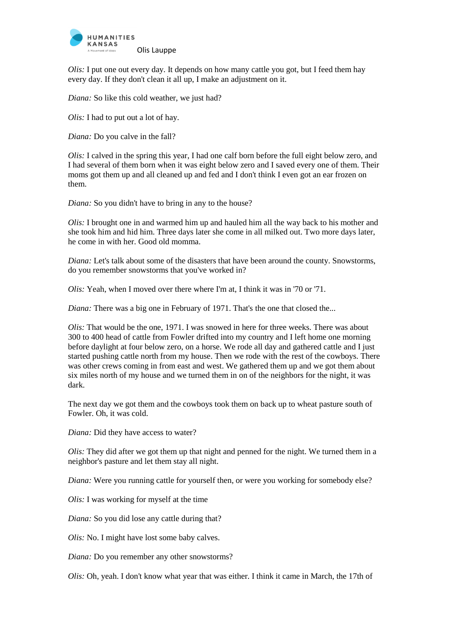

*Olis:* I put one out every day. It depends on how many cattle you got, but I feed them hay every day. If they don't clean it all up, I make an adjustment on it.

*Diana:* So like this cold weather, we just had?

*Olis:* I had to put out a lot of hay.

*Diana:* Do you calve in the fall?

*Olis:* I calved in the spring this year, I had one calf born before the full eight below zero, and I had several of them born when it was eight below zero and I saved every one of them. Their moms got them up and all cleaned up and fed and I don't think I even got an ear frozen on them.

*Diana:* So you didn't have to bring in any to the house?

*Olis:* I brought one in and warmed him up and hauled him all the way back to his mother and she took him and hid him. Three days later she come in all milked out. Two more days later, he come in with her. Good old momma.

*Diana:* Let's talk about some of the disasters that have been around the county. Snowstorms, do you remember snowstorms that you've worked in?

*Olis:* Yeah, when I moved over there where I'm at, I think it was in '70 or '71.

*Diana:* There was a big one in February of 1971. That's the one that closed the...

*Olis:* That would be the one, 1971. I was snowed in here for three weeks. There was about 300 to 400 head of cattle from Fowler drifted into my country and I left home one morning before daylight at four below zero, on a horse. We rode all day and gathered cattle and I just started pushing cattle north from my house. Then we rode with the rest of the cowboys. There was other crews coming in from east and west. We gathered them up and we got them about six miles north of my house and we turned them in on of the neighbors for the night, it was dark.

The next day we got them and the cowboys took them on back up to wheat pasture south of Fowler. Oh, it was cold.

*Diana:* Did they have access to water?

*Olis:* They did after we got them up that night and penned for the night. We turned them in a neighbor's pasture and let them stay all night.

*Diana:* Were you running cattle for yourself then, or were you working for somebody else?

*Olis:* I was working for myself at the time

*Diana:* So you did lose any cattle during that?

*Olis:* No. I might have lost some baby calves.

*Diana:* Do you remember any other snowstorms?

*Olis:* Oh, yeah. I don't know what year that was either. I think it came in March, the 17th of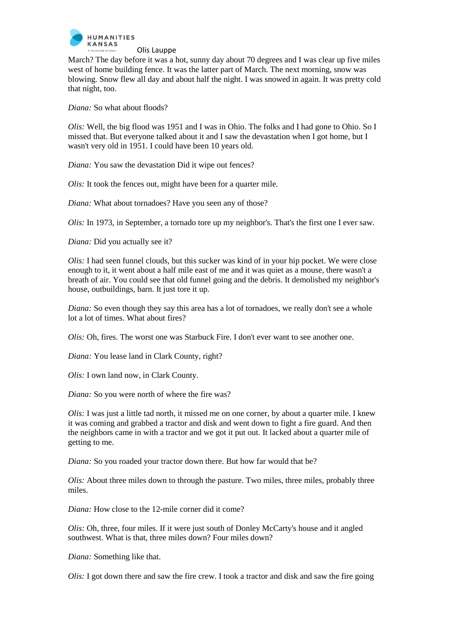

March? The day before it was a hot, sunny day about 70 degrees and I was clear up five miles west of home building fence. It was the latter part of March. The next morning, snow was blowing. Snow flew all day and about half the night. I was snowed in again. It was pretty cold that night, too.

*Diana:* So what about floods?

*Olis:* Well, the big flood was 1951 and I was in Ohio. The folks and I had gone to Ohio. So I missed that. But everyone talked about it and I saw the devastation when I got home, but I wasn't very old in 1951. I could have been 10 years old.

*Diana:* You saw the devastation Did it wipe out fences?

*Olis:* It took the fences out, might have been for a quarter mile.

*Diana:* What about tornadoes? Have you seen any of those?

*Olis:* In 1973, in September, a tornado tore up my neighbor's. That's the first one I ever saw.

*Diana:* Did you actually see it?

*Olis:* I had seen funnel clouds, but this sucker was kind of in your hip pocket. We were close enough to it, it went about a half mile east of me and it was quiet as a mouse, there wasn't a breath of air. You could see that old funnel going and the debris. It demolished my neighbor's house, outbuildings, barn. It just tore it up.

*Diana:* So even though they say this area has a lot of tornadoes, we really don't see a whole lot a lot of times. What about fires?

*Olis:* Oh, fires. The worst one was Starbuck Fire. I don't ever want to see another one.

*Diana:* You lease land in Clark County, right?

*Olis:* I own land now, in Clark County.

*Diana:* So you were north of where the fire was?

*Olis:* I was just a little tad north, it missed me on one corner, by about a quarter mile. I knew it was coming and grabbed a tractor and disk and went down to fight a fire guard. And then the neighbors came in with a tractor and we got it put out. It lacked about a quarter mile of getting to me.

*Diana:* So you roaded your tractor down there. But how far would that be?

*Olis:* About three miles down to through the pasture. Two miles, three miles, probably three miles.

*Diana:* How close to the 12-mile corner did it come?

*Olis:* Oh, three, four miles. If it were just south of Donley McCarty's house and it angled southwest. What is that, three miles down? Four miles down?

*Diana:* Something like that.

*Olis:* I got down there and saw the fire crew. I took a tractor and disk and saw the fire going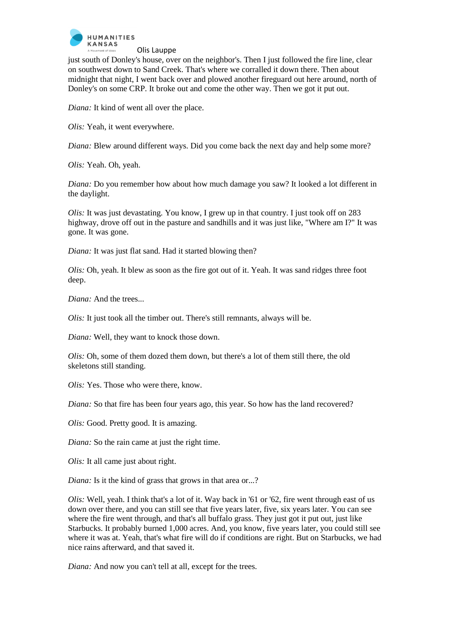

just south of Donley's house, over on the neighbor's. Then I just followed the fire line, clear on southwest down to Sand Creek. That's where we corralled it down there. Then about midnight that night, I went back over and plowed another fireguard out here around, north of Donley's on some CRP. It broke out and come the other way. Then we got it put out.

*Diana:* It kind of went all over the place.

*Olis:* Yeah, it went everywhere.

*Diana:* Blew around different ways. Did you come back the next day and help some more?

*Olis:* Yeah. Oh, yeah.

*Diana:* Do you remember how about how much damage you saw? It looked a lot different in the daylight.

*Olis:* It was just devastating. You know, I grew up in that country. I just took off on 283 highway, drove off out in the pasture and sandhills and it was just like, "Where am I?" It was gone. It was gone.

*Diana:* It was just flat sand. Had it started blowing then?

*Olis:* Oh, yeah. It blew as soon as the fire got out of it. Yeah. It was sand ridges three foot deep.

*Diana:* And the trees...

*Olis:* It just took all the timber out. There's still remnants, always will be.

*Diana:* Well, they want to knock those down.

*Olis:* Oh, some of them dozed them down, but there's a lot of them still there, the old skeletons still standing.

*Olis:* Yes. Those who were there, know.

*Diana:* So that fire has been four years ago, this year. So how has the land recovered?

*Olis:* Good. Pretty good. It is amazing.

*Diana:* So the rain came at just the right time.

*Olis:* It all came just about right.

*Diana:* Is it the kind of grass that grows in that area or...?

*Olis:* Well, yeah. I think that's a lot of it. Way back in '61 or '62, fire went through east of us down over there, and you can still see that five years later, five, six years later. You can see where the fire went through, and that's all buffalo grass. They just got it put out, just like Starbucks. It probably burned 1,000 acres. And, you know, five years later, you could still see where it was at. Yeah, that's what fire will do if conditions are right. But on Starbucks, we had nice rains afterward, and that saved it.

*Diana:* And now you can't tell at all, except for the trees.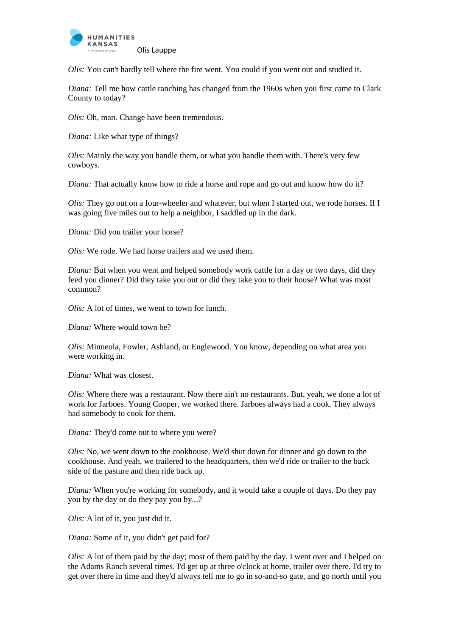

*Olis:* You can't hardly tell where the fire went. You could if you went out and studied it.

*Diana:* Tell me how cattle ranching has changed from the 1960s when you first came to Clark County to today?

*Olis:* Oh, man. Change have been tremendous.

*Diana:* Like what type of things?

*Olis:* Mainly the way you handle them, or what you handle them with. There's very few cowboys.

*Diana:* That actually know how to ride a horse and rope and go out and know how do it?

*Olis:* They go out on a four-wheeler and whatever, but when I started out, we rode horses. If I was going five miles out to help a neighbor, I saddled up in the dark.

*Diana:* Did you trailer your horse?

*Olis:* We rode. We had horse trailers and we used them.

*Diana:* But when you went and helped somebody work cattle for a day or two days, did they feed you dinner? Did they take you out or did they take you to their house? What was most common?

*Olis:* A lot of times, we went to town for lunch.

*Diana:* Where would town be?

*Olis:* Minneola, Fowler, Ashland, or Englewood. You know, depending on what area you were working in.

*Diana:* What was closest.

*Olis:* Where there was a restaurant. Now there ain't no restaurants. But, yeah, we done a lot of work for Jarboes. Young Cooper, we worked there. Jarboes always had a cook. They always had somebody to cook for them.

*Diana:* They'd come out to where you were?

*Olis:* No, we went down to the cookhouse. We'd shut down for dinner and go down to the cookhouse. And yeah, we trailered to the headquarters, then we'd ride or trailer to the back side of the pasture and then ride back up.

*Diana:* When you're working for somebody, and it would take a couple of days. Do they pay you by the day or do they pay you by...?

*Olis:* A lot of it, you just did it.

*Diana:* Some of it, you didn't get paid for?

*Olis:* A lot of them paid by the day; most of them paid by the day. I went over and I helped on the Adams Ranch several times. I'd get up at three o'clock at home, trailer over there. I'd try to get over there in time and they'd always tell me to go in so-and-so gate, and go north until you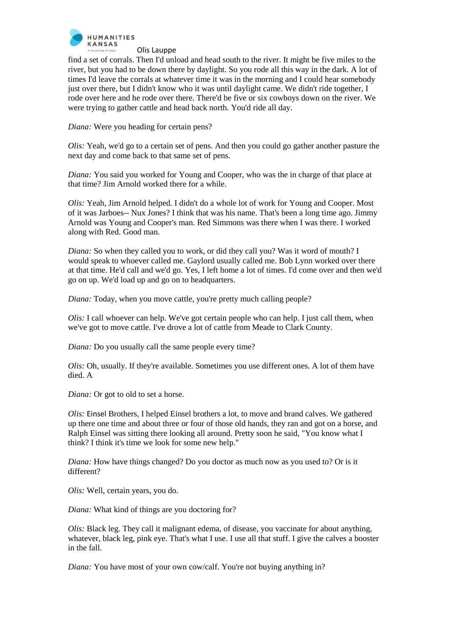

find a set of corrals. Then I'd unload and head south to the river. It might be five miles to the river, but you had to be down there by daylight. So you rode all this way in the dark. A lot of times I'd leave the corrals at whatever time it was in the morning and I could hear somebody just over there, but I didn't know who it was until daylight came. We didn't ride together, I rode over here and he rode over there. There'd be five or six cowboys down on the river. We were trying to gather cattle and head back north. You'd ride all day.

*Diana:* Were you heading for certain pens?

*Olis:* Yeah, we'd go to a certain set of pens. And then you could go gather another pasture the next day and come back to that same set of pens.

*Diana:* You said you worked for Young and Cooper, who was the in charge of that place at that time? Jim Arnold worked there for a while.

*Olis:* Yeah, Jim Arnold helped. I didn't do a whole lot of work for Young and Cooper. Most of it was Jarboes-- Nux Jones? I think that was his name. That's been a long time ago. Jimmy Arnold was Young and Cooper's man. Red Simmons was there when I was there. I worked along with Red. Good man.

*Diana:* So when they called you to work, or did they call you? Was it word of mouth? I would speak to whoever called me. Gaylord usually called me. Bob Lynn worked over there at that time. He'd call and we'd go. Yes, I left home a lot of times. I'd come over and then we'd go on up. We'd load up and go on to headquarters.

*Diana:* Today, when you move cattle, you're pretty much calling people?

*Olis:* I call whoever can help. We've got certain people who can help. I just call them, when we've got to move cattle. I've drove a lot of cattle from Meade to Clark County.

*Diana:* Do you usually call the same people every time?

*Olis:* Oh, usually. If they're available. Sometimes you use different ones. A lot of them have died. A

*Diana:* Or got to old to set a horse.

*Olis:* Einsel Brothers, I helped Einsel brothers a lot, to move and brand calves. We gathered up there one time and about three or four of those old hands, they ran and got on a horse, and Ralph Einsel was sitting there looking all around. Pretty soon he said, "You know what I think? I think it's time we look for some new help."

*Diana:* How have things changed? Do you doctor as much now as you used to? Or is it different?

*Olis:* Well, certain years, you do.

*Diana:* What kind of things are you doctoring for?

*Olis:* Black leg. They call it malignant edema, of disease, you vaccinate for about anything, whatever, black leg, pink eye. That's what I use. I use all that stuff. I give the calves a booster in the fall.

*Diana:* You have most of your own cow/calf. You're not buying anything in?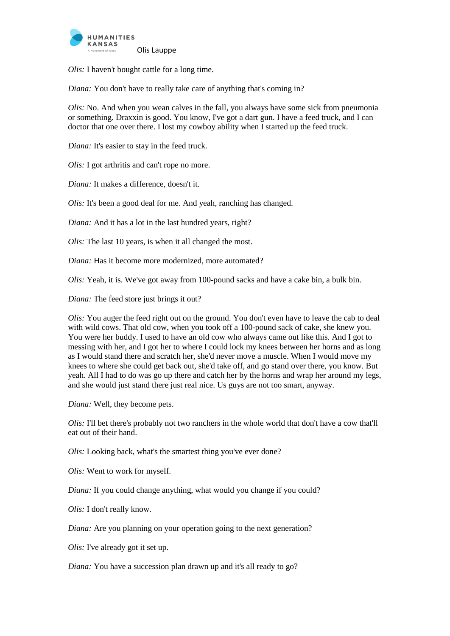

*Olis:* I haven't bought cattle for a long time.

*Diana:* You don't have to really take care of anything that's coming in?

*Olis:* No. And when you wean calves in the fall, you always have some sick from pneumonia or something. Draxxin is good. You know, I've got a dart gun. I have a feed truck, and I can doctor that one over there. I lost my cowboy ability when I started up the feed truck.

*Diana:* It's easier to stay in the feed truck.

*Olis:* I got arthritis and can't rope no more.

*Diana:* It makes a difference, doesn't it.

*Olis:* It's been a good deal for me. And yeah, ranching has changed.

*Diana:* And it has a lot in the last hundred years, right?

*Olis:* The last 10 years, is when it all changed the most.

*Diana:* Has it become more modernized, more automated?

*Olis:* Yeah, it is. We've got away from 100-pound sacks and have a cake bin, a bulk bin.

*Diana:* The feed store just brings it out?

*Olis:* You auger the feed right out on the ground. You don't even have to leave the cab to deal with wild cows. That old cow, when you took off a 100-pound sack of cake, she knew you. You were her buddy. I used to have an old cow who always came out like this. And I got to messing with her, and I got her to where I could lock my knees between her horns and as long as I would stand there and scratch her, she'd never move a muscle. When I would move my knees to where she could get back out, she'd take off, and go stand over there, you know. But yeah. All I had to do was go up there and catch her by the horns and wrap her around my legs, and she would just stand there just real nice. Us guys are not too smart, anyway.

*Diana:* Well, they become pets.

*Olis:* I'll bet there's probably not two ranchers in the whole world that don't have a cow that'll eat out of their hand.

*Olis:* Looking back, what's the smartest thing you've ever done?

*Olis:* Went to work for myself.

*Diana:* If you could change anything, what would you change if you could?

*Olis:* I don't really know.

*Diana:* Are you planning on your operation going to the next generation?

*Olis:* I've already got it set up.

*Diana:* You have a succession plan drawn up and it's all ready to go?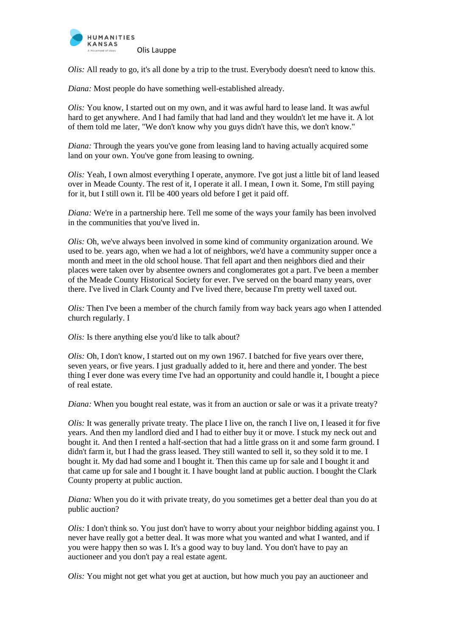

*Olis:* All ready to go, it's all done by a trip to the trust. Everybody doesn't need to know this.

*Diana:* Most people do have something well-established already.

*Olis:* You know, I started out on my own, and it was awful hard to lease land. It was awful hard to get anywhere. And I had family that had land and they wouldn't let me have it. A lot of them told me later, "We don't know why you guys didn't have this, we don't know."

*Diana:* Through the years you've gone from leasing land to having actually acquired some land on your own. You've gone from leasing to owning.

*Olis:* Yeah, I own almost everything I operate, anymore. I've got just a little bit of land leased over in Meade County. The rest of it, I operate it all. I mean, I own it. Some, I'm still paying for it, but I still own it. I'll be 400 years old before I get it paid off.

*Diana:* We're in a partnership here. Tell me some of the ways your family has been involved in the communities that you've lived in.

*Olis:* Oh, we've always been involved in some kind of community organization around. We used to be. years ago, when we had a lot of neighbors, we'd have a community supper once a month and meet in the old school house. That fell apart and then neighbors died and their places were taken over by absentee owners and conglomerates got a part. I've been a member of the Meade County Historical Society for ever. I've served on the board many years, over there. I've lived in Clark County and I've lived there, because I'm pretty well taxed out.

*Olis:* Then I've been a member of the church family from way back years ago when I attended church regularly. I

*Olis:* Is there anything else you'd like to talk about?

*Olis:* Oh, I don't know, I started out on my own 1967. I batched for five years over there, seven years, or five years. I just gradually added to it, here and there and yonder. The best thing I ever done was every time I've had an opportunity and could handle it, I bought a piece of real estate.

*Diana:* When you bought real estate, was it from an auction or sale or was it a private treaty?

*Olis:* It was generally private treaty. The place I live on, the ranch I live on, I leased it for five years. And then my landlord died and I had to either buy it or move. I stuck my neck out and bought it. And then I rented a half-section that had a little grass on it and some farm ground. I didn't farm it, but I had the grass leased. They still wanted to sell it, so they sold it to me. I bought it. My dad had some and I bought it. Then this came up for sale and I bought it and that came up for sale and I bought it. I have bought land at public auction. I bought the Clark County property at public auction.

*Diana:* When you do it with private treaty, do you sometimes get a better deal than you do at public auction?

*Olis:* I don't think so. You just don't have to worry about your neighbor bidding against you. I never have really got a better deal. It was more what you wanted and what I wanted, and if you were happy then so was I. It's a good way to buy land. You don't have to pay an auctioneer and you don't pay a real estate agent.

*Olis:* You might not get what you get at auction, but how much you pay an auctioneer and